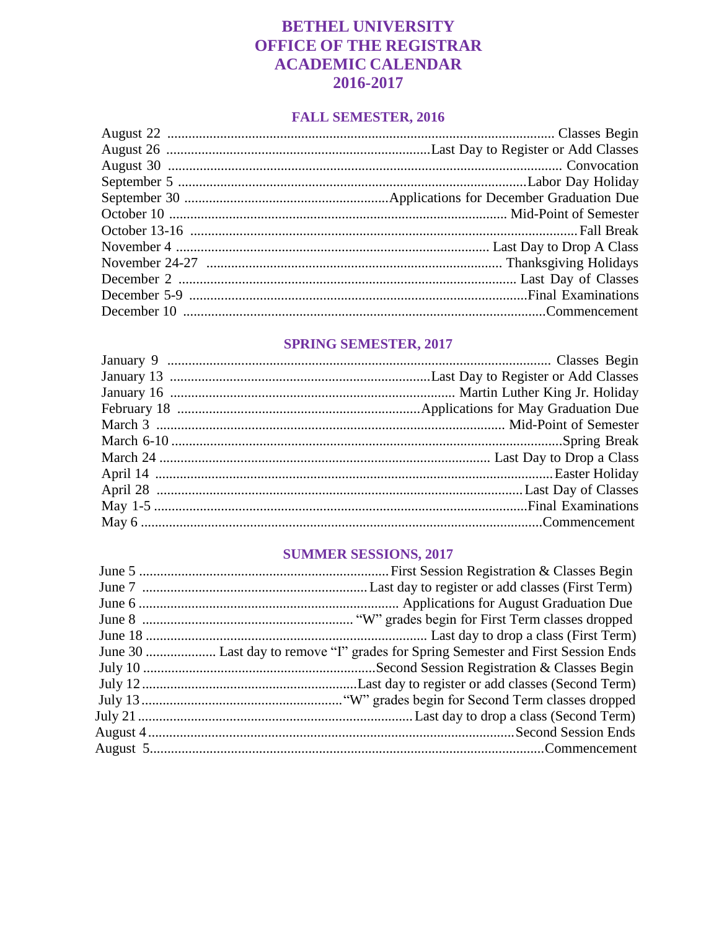### **BETHEL UNIVERSITY OFFICE OF THE REGISTRAR ACADEMIC CALENDAR** 2016-2017

#### **FALL SEMESTER, 2016**

### **SPRING SEMESTER, 2017**

#### **SUMMER SESSIONS, 2017**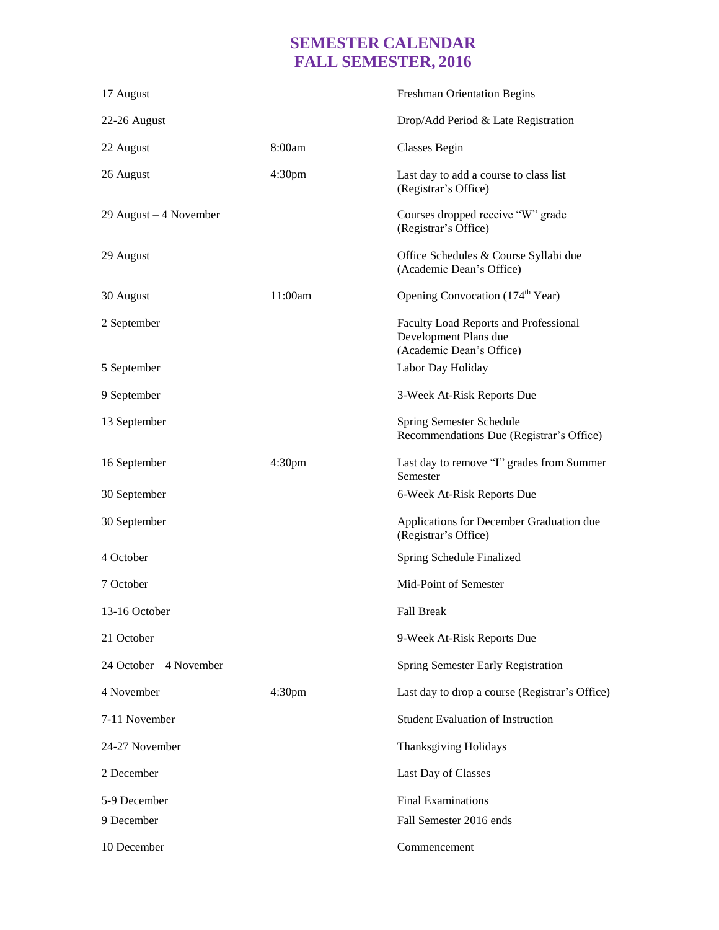# **SEMESTER CALENDAR FALL SEMESTER, 2016**

| 17 August               |                    | <b>Freshman Orientation Begins</b>                                                         |
|-------------------------|--------------------|--------------------------------------------------------------------------------------------|
| 22-26 August            |                    | Drop/Add Period & Late Registration                                                        |
| 22 August               | 8:00am             | <b>Classes Begin</b>                                                                       |
| 26 August               | 4:30 <sub>pm</sub> | Last day to add a course to class list<br>(Registrar's Office)                             |
| 29 August $-4$ November |                    | Courses dropped receive "W" grade<br>(Registrar's Office)                                  |
| 29 August               |                    | Office Schedules & Course Syllabi due<br>(Academic Dean's Office)                          |
| 30 August               | 11:00am            | Opening Convocation (174 <sup>th</sup> Year)                                               |
| 2 September             |                    | Faculty Load Reports and Professional<br>Development Plans due<br>(Academic Dean's Office) |
| 5 September             |                    | Labor Day Holiday                                                                          |
| 9 September             |                    | 3-Week At-Risk Reports Due                                                                 |
| 13 September            |                    | Spring Semester Schedule<br>Recommendations Due (Registrar's Office)                       |
| 16 September            | 4:30 <sub>pm</sub> | Last day to remove "I" grades from Summer<br>Semester                                      |
| 30 September            |                    | 6-Week At-Risk Reports Due                                                                 |
| 30 September            |                    | Applications for December Graduation due<br>(Registrar's Office)                           |
| 4 October               |                    | Spring Schedule Finalized                                                                  |
| 7 October               |                    | Mid-Point of Semester                                                                      |
| 13-16 October           |                    | <b>Fall Break</b>                                                                          |
| 21 October              |                    | 9-Week At-Risk Reports Due                                                                 |
| 24 October – 4 November |                    | Spring Semester Early Registration                                                         |
| 4 November              | 4:30 <sub>pm</sub> | Last day to drop a course (Registrar's Office)                                             |
| 7-11 November           |                    | <b>Student Evaluation of Instruction</b>                                                   |
| 24-27 November          |                    | <b>Thanksgiving Holidays</b>                                                               |
| 2 December              |                    | Last Day of Classes                                                                        |
| 5-9 December            |                    | <b>Final Examinations</b>                                                                  |
| 9 December              |                    | Fall Semester 2016 ends                                                                    |
| 10 December             |                    | Commencement                                                                               |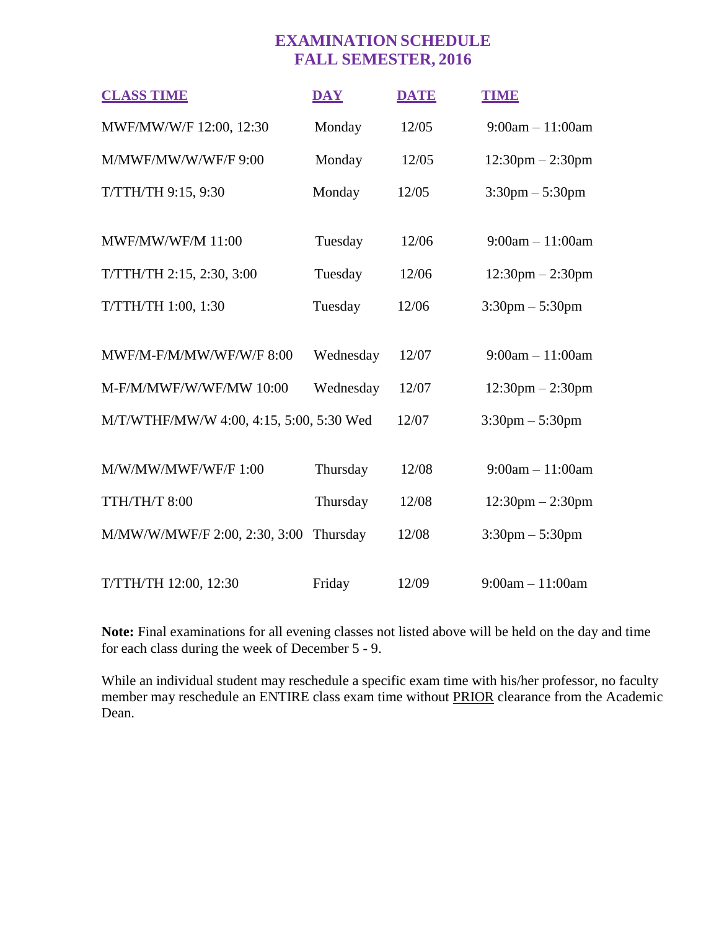## **EXAMINATION SCHEDULE FALL SEMESTER, 2016**

| <b>CLASS TIME</b>                        | <b>DAY</b> | <b>DATE</b> | <b>TIME</b>                        |
|------------------------------------------|------------|-------------|------------------------------------|
| MWF/MW/W/F 12:00, 12:30                  | Monday     | 12/05       | $9:00am - 11:00am$                 |
| M/MWF/MW/W/WF/F 9:00                     | Monday     | 12/05       | $12:30$ pm $- 2:30$ pm             |
| T/TTH/TH 9:15, 9:30                      | Monday     | 12/05       | $3:30 \text{pm} - 5:30 \text{pm}$  |
|                                          |            |             |                                    |
| <b>MWF/MW/WF/M 11:00</b>                 | Tuesday    | 12/06       | $9:00am - 11:00am$                 |
| T/TTH/TH 2:15, 2:30, 3:00                | Tuesday    | 12/06       | $12:30 \text{pm} - 2:30 \text{pm}$ |
| T/TTH/TH 1:00, 1:30                      | Tuesday    | 12/06       | $3:30 \text{pm} - 5:30 \text{pm}$  |
|                                          |            |             |                                    |
| MWF/M-F/M/MW/WF/W/F 8:00                 | Wednesday  | 12/07       | $9:00am - 11:00am$                 |
| M-F/M/MWF/W/WF/MW 10:00                  | Wednesday  | 12/07       | $12:30 \text{pm} - 2:30 \text{pm}$ |
| M/T/WTHF/MW/W 4:00, 4:15, 5:00, 5:30 Wed |            | 12/07       | $3:30 \text{pm} - 5:30 \text{pm}$  |
|                                          |            |             |                                    |
| M/W/MW/MWF/WF/F 1:00                     | Thursday   | 12/08       | $9:00am - 11:00am$                 |
| TTH/TH/T 8:00                            | Thursday   | 12/08       | $12:30$ pm $- 2:30$ pm             |
| M/MW/W/MWF/F 2:00, 2:30, 3:00            | Thursday   | 12/08       | $3:30 \text{pm} - 5:30 \text{pm}$  |
|                                          |            |             |                                    |
| T/TTH/TH 12:00, 12:30                    | Friday     | 12/09       | $9:00am - 11:00am$                 |

**Note:** Final examinations for all evening classes not listed above will be held on the day and time for each class during the week of December 5 - 9.

While an individual student may reschedule a specific exam time with his/her professor, no faculty member may reschedule an ENTIRE class exam time without PRIOR clearance from the Academic Dean.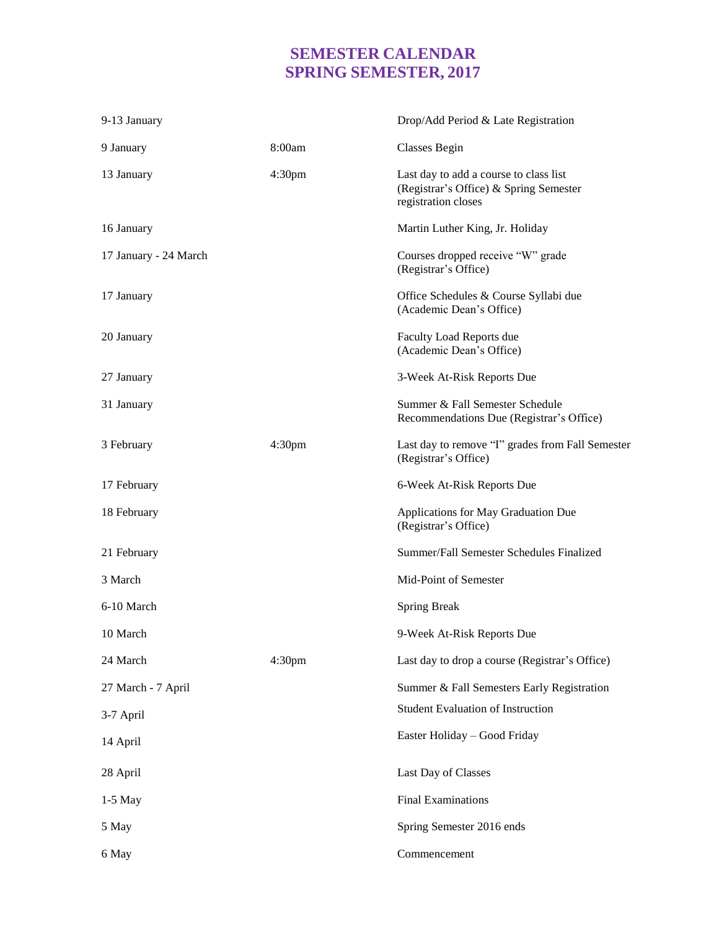## **SEMESTER CALENDAR SPRING SEMESTER, 2017**

| 9-13 January          |                    | Drop/Add Period & Late Registration                                                                     |
|-----------------------|--------------------|---------------------------------------------------------------------------------------------------------|
| 9 January             | 8:00am             | <b>Classes Begin</b>                                                                                    |
| 13 January            | 4:30 <sub>pm</sub> | Last day to add a course to class list<br>(Registrar's Office) & Spring Semester<br>registration closes |
| 16 January            |                    | Martin Luther King, Jr. Holiday                                                                         |
| 17 January - 24 March |                    | Courses dropped receive "W" grade<br>(Registrar's Office)                                               |
| 17 January            |                    | Office Schedules & Course Syllabi due<br>(Academic Dean's Office)                                       |
| 20 January            |                    | Faculty Load Reports due<br>(Academic Dean's Office)                                                    |
| 27 January            |                    | 3-Week At-Risk Reports Due                                                                              |
| 31 January            |                    | Summer & Fall Semester Schedule<br>Recommendations Due (Registrar's Office)                             |
| 3 February            | 4:30 <sub>pm</sub> | Last day to remove "I" grades from Fall Semester<br>(Registrar's Office)                                |
| 17 February           |                    | 6-Week At-Risk Reports Due                                                                              |
| 18 February           |                    | Applications for May Graduation Due<br>(Registrar's Office)                                             |
| 21 February           |                    | Summer/Fall Semester Schedules Finalized                                                                |
| 3 March               |                    | Mid-Point of Semester                                                                                   |
| 6-10 March            |                    | <b>Spring Break</b>                                                                                     |
| 10 March              |                    | 9-Week At-Risk Reports Due                                                                              |
| 24 March              | 4:30 <sub>pm</sub> | Last day to drop a course (Registrar's Office)                                                          |
| 27 March - 7 April    |                    | Summer & Fall Semesters Early Registration                                                              |
| 3-7 April             |                    | <b>Student Evaluation of Instruction</b>                                                                |
| 14 April              |                    | Easter Holiday - Good Friday                                                                            |
| 28 April              |                    | Last Day of Classes                                                                                     |
| $1-5$ May             |                    | <b>Final Examinations</b>                                                                               |
| 5 May                 |                    | Spring Semester 2016 ends                                                                               |
| 6 May                 |                    | Commencement                                                                                            |